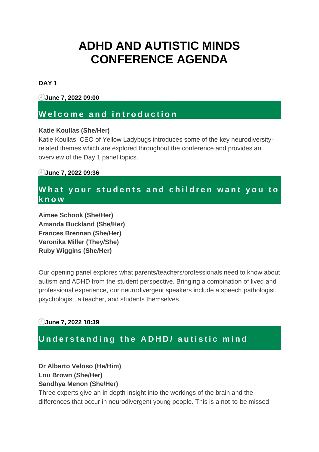# **ADHD AND AUTISTIC MINDS CONFERENCE AGENDA**

### **DAY 1**

**June 7, 2022 09:00**

### **W e l c o m e a n d i n t r o d u c t i o n**

### **Katie Koullas (She/Her)**

Katie Koullas, CEO of Yellow Ladybugs introduces some of the key neurodiversityrelated themes which are explored throughout the conference and provides an overview of the Day 1 panel topics.

### **June 7, 2022 09:36**

### **What your students and children want you to k n o w**

**Aimee Schook (She/Her) Amanda Buckland (She/Her) Frances Brennan (She/Her) Veronika Miller (They/She) Ruby Wiggins (She/Her)**

Our opening panel explores what parents/teachers/professionals need to know about autism and ADHD from the student perspective. Bringing a combination of lived and professional experience, our neurodivergent speakers include a speech pathologist, psychologist, a teacher, and students themselves.

### **June 7, 2022 10:39**

# **Understanding the ADHD/ autistic mind**

### **Dr Alberto Veloso (He/Him) Lou Brown (She/Her) Sandhya Menon (She/Her)**

Three experts give an in depth insight into the workings of the brain and the differences that occur in neurodivergent young people. This is a not-to-be missed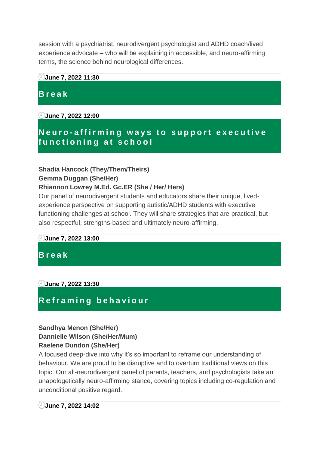session with a psychiatrist, neurodivergent psychologist and ADHD coach/lived experience advocate – who will be explaining in accessible, and neuro-affirming terms, the science behind neurological differences.

### **June 7, 2022 11:30**

# **B r e a k**

**June 7, 2022 12:00**

# **Neuro**-affirming ways to support executive **f u n c t i o n i n g a t s c h o o l**

### **Shadia Hancock (They/Them/Theirs)**

### **Gemma Duggan (She/Her)**

### **Rhiannon Lowrey M.Ed. Gc.ER (She / Her/ Hers)**

Our panel of neurodivergent students and educators share their unique, livedexperience perspective on supporting autistic/ADHD students with executive functioning challenges at school. They will share strategies that are practical, but also respectful, strengths-based and ultimately neuro-affirming.

### **June 7, 2022 13:00**

### **B r e a k**

**June 7, 2022 13:30**

# **R e f r a m i n g b e h a v i o u r**

### **Sandhya Menon (She/Her) Dannielle Wilson (She/Her/Mum) Raelene Dundon (She/Her)**

A focused deep-dive into why it's so important to reframe our understanding of behaviour. We are proud to be disruptive and to overturn traditional views on this topic. Our all-neurodivergent panel of parents, teachers, and psychologists take an unapologetically neuro-affirming stance, covering topics including co-regulation and unconditional positive regard.

### **June 7, 2022 14:02**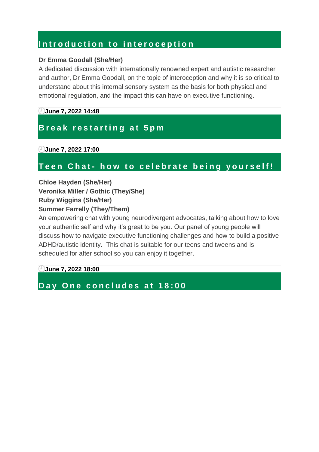# Introduction to interoception

### **Dr Emma Goodall (She/Her)**

A dedicated discussion with internationally renowned expert and autistic researcher and author, Dr Emma Goodall, on the topic of interoception and why it is so critical to understand about this internal sensory system as the basis for both physical and emotional regulation, and the impact this can have on executive functioning.

### **June 7, 2022 14:48**

# **Break restarting at 5pm**

**June 7, 2022 17:00**

# Teen Chat- how to celebrate being yourself!

**Chloe Hayden (She/Her) Veronika Miller / Gothic (They/She) Ruby Wiggins (She/Her) Summer Farrelly (They/Them)**

An empowering chat with young neurodivergent advocates, talking about how to love your authentic self and why it's great to be you. Our panel of young people will discuss how to navigate executive functioning challenges and how to build a positive ADHD/autistic identity. This chat is suitable for our teens and tweens and is scheduled for after school so you can enjoy it together.

**June 7, 2022 18:00**

### Day One concludes at 18:00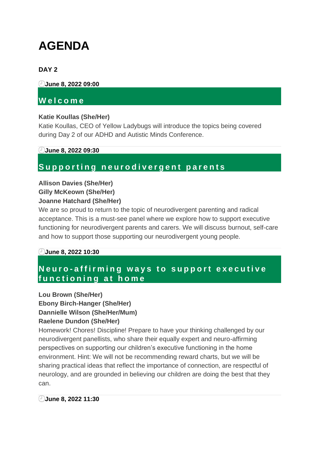# **AGENDA**

### **DAY 2**

**June 8, 2022 09:00**

### **W e l c o m e**

### **Katie Koullas (She/Her)**

Katie Koullas, CEO of Yellow Ladybugs will introduce the topics being covered during Day 2 of our ADHD and Autistic Minds Conference.

### **June 8, 2022 09:30**

### **S u p p o r t i n g n e u r o d i v e r g e n t p a r e n t s**

### **Allison Davies (She/Her) Gilly McKeown (She/Her) Joanne Hatchard (She/Her)**

We are so proud to return to the topic of neurodivergent parenting and radical acceptance. This is a must-see panel where we explore how to support executive functioning for neurodivergent parents and carers. We will discuss burnout, self-care and how to support those supporting our neurodivergent young people.

### **June 8, 2022 10:30**

# **Neuro-affirming ways to support executive f u n c t i o n i n g a t h o m e**

**Lou Brown (She/Her) Ebony Birch-Hanger (She/Her) Dannielle Wilson (She/Her/Mum) Raelene Dundon (She/Her)**

Homework! Chores! Discipline! Prepare to have your thinking challenged by our neurodivergent panellists, who share their equally expert and neuro-affirming perspectives on supporting our children's executive functioning in the home environment. Hint: We will not be recommending reward charts, but we will be sharing practical ideas that reflect the importance of connection, are respectful of neurology, and are grounded in believing our children are doing the best that they can.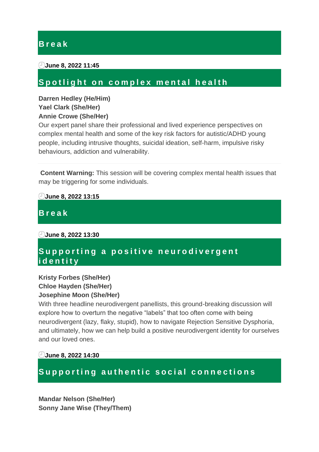### **B r e a k**

#### **June 8, 2022 11:45**

### Spotlight on complex mental health

### **Darren Hedley (He/Him) Yael Clark (She/Her) Annie Crowe (She/Her)**

Our expert panel share their professional and lived experience perspectives on complex mental health and some of the key risk factors for autistic/ADHD young people, including intrusive thoughts, suicidal ideation, self-harm, impulsive risky behaviours, addiction and vulnerability.

**Content Warning:** This session will be covering complex mental health issues that may be triggering for some individuals.

**June 8, 2022 13:15**

**B r e a k**

**June 8, 2022 13:30**

### Supporting a positive neurodivergent **i d e n t i t y**

### **Kristy Forbes (She/Her) Chloe Hayden (She/Her) Josephine Moon (She/Her)**

With three headline neurodivergent panellists, this ground-breaking discussion will explore how to overturn the negative "labels" that too often come with being neurodivergent (lazy, flaky, stupid), how to navigate Rejection Sensitive Dysphoria, and ultimately, how we can help build a positive neurodivergent identity for ourselves and our loved ones.

**June 8, 2022 14:30**

# Supporting authentic social connections

**Mandar Nelson (She/Her) Sonny Jane Wise (They/Them)**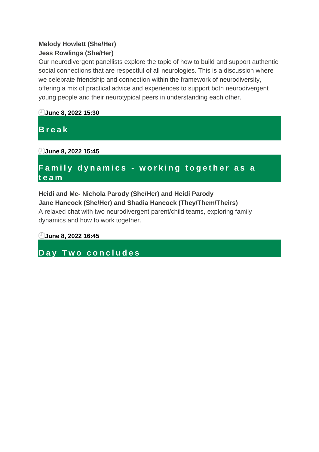### **Melody Howlett (She/Her) Jess Rowlings (She/Her)**

Our neurodivergent panellists explore the topic of how to build and support authentic social connections that are respectful of all neurologies. This is a discussion where we celebrate friendship and connection within the framework of neurodiversity, offering a mix of practical advice and experiences to support both neurodivergent young people and their neurotypical peers in understanding each other.



# **F a m i l y d y n a m i c s - w o r k i n g t o g e t h e r a s a t e a m**

# **Heidi and Me- Nichola Parody (She/Her) and Heidi Parody Jane Hancock (She/Her) and Shadia Hancock (They/Them/Theirs)**

A relaxed chat with two neurodivergent parent/child teams, exploring family dynamics and how to work together.

**June 8, 2022 16:45**

**D a y T w o c o n c l u d e s**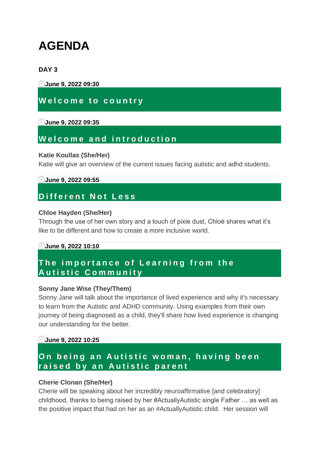# **AGENDA**

### **DAY 3**

**June 9, 2022 09:30**

### **Welcome to country**

### **June 9, 2022 09:35**

### **W e l c o m e a n d i n t r o d u c t i o n**

#### **Katie Koullas (She/Her)**

Katie will give an overview of the current issues facing autistic and adhd students.

### **June 9, 2022 09:55**

# **D i f f e r e n t N o t L e s s**

#### **Chloe Hayden (She/Her)**

Through the use of her own story and a touch of pixie dust, Chloé shares what it's like to be different and how to create a more inclusive world.

### **June 9, 2022 10:10**

# **The importance of Learning from the A u t i s t i c C o m m u n i t y**

### **Sonny Jane Wise (They/Them)**

Sonny Jane will talk about the importance of lived experience and why it's necessary to learn from the Autistic and ADHD community. Using examples from their own journey of being diagnosed as a child, they'll share how lived experience is changing our understanding for the better.

### **June 9, 2022 10:25**

### On being an Autistic woman, having been raised by an Autistic parent

### **Cherie Clonan (She/Her)**

Cherie will be speaking about her incredibly neuroaffirmative [and celebratory] childhood, thanks to being raised by her #ActuallyAutistic single Father … as well as the positive impact that had on her as an #ActuallyAutistic child. Her session will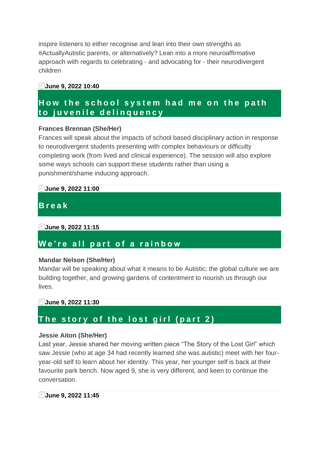inspire listeners to either recognise and lean into their own strengths as #ActuallyAutistic parents, or alternatively? Lean into a more neuroaffirmative approach with regards to celebrating - and advocating for - their neurodivergent children

#### **June 9, 2022 10:40**

### **How the school system had me on the path t o j u v e n i l e d e l i n q u e n c y**

### **Frances Brennan (She/Her)**

Frances will speak about the impacts of school based disciplinary action in response to neurodivergent students presenting with complex behaviours or difficulty completing work (from lived and clinical experience). The session will also explore some ways schools can support these students rather than using a punishment/shame inducing approach.

### **June 9, 2022 11:00**

# **B r e a k**

### **June 9, 2022 11:15**

### **W e ' r e a l l p a r t o f a r a i n b o w**

### **Mandar Nelson (She/Her)**

Mandar will be speaking about what it means to be Autistic; the global culture we are building together, and growing gardens of contentment to nourish us through our lives.

### **June 9, 2022 11:30**

### The story of the lost girl (part 2)

### **Jessie Aiton (She/Her)**

Last year, Jessie shared her moving written piece "The Story of the Lost Girl" which saw Jessie (who at age 34 had recently learned she was autistic) meet with her fouryear-old self to learn about her identity. This year, her younger self is back at their favourite park bench. Now aged 9, she is very different, and keen to continue the conversation.

### **June 9, 2022 11:45**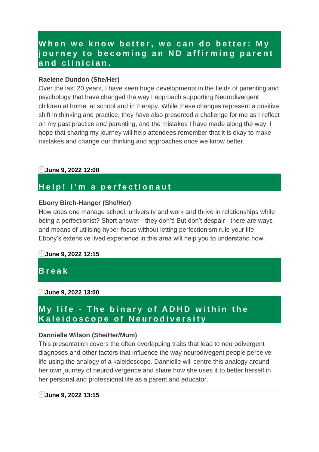### When we know better, we can do better: My **j o u r n e y t o b e c o m i n g a n N D a f f i r m i n g p a r e n t a n d c l i n i c i a n .**

#### **Raelene Dundon (She/Her)**

Over the last 20 years, I have seen huge developments in the fields of parenting and psychology that have changed the way I approach supporting Neurodivergent children at home, at school and in therapy. While these changes represent a positive shift in thinking and practice, they have also presented a challenge for me as I reflect on my past practice and parenting, and the mistakes I have made along the way. I hope that sharing my journey will help attendees remember that it is okay to make mistakes and change our thinking and approaches once we know better.

#### **June 9, 2022 12:00**

### **H e l p ! I ' m a p e r f e c t i o n a u t**

#### **Ebony Birch-Hanger (She/Her)**

How does one manage school, university and work and thrive in relationships while being a perfectionist? Short answer - they don't! But don't despair - there are ways and means of utilising hyper-focus without letting perfectionism rule your life. Ebony's extensive lived experience in this area will help you to understand how.

#### **June 9, 2022 12:15**

**B r e a k**

#### **June 9, 2022 13:00**

### **My life - The binary of ADHD within the K a l e i d o s c o p e o f N e u r o d i v e r s i t y**

#### **Dannielle Wilson (She/Her/Mum)**

This presentation covers the often overlapping traits that lead to neurodivergent diagnoses and other factors that influence the way neurodivegent people perceive life using the analogy of a kaleidoscope. Dannielle will centre this analogy around her own journey of neurodivergence and share how she uses it to better herself in her personal and professional life as a parent and educator.

#### **June 9, 2022 13:15**